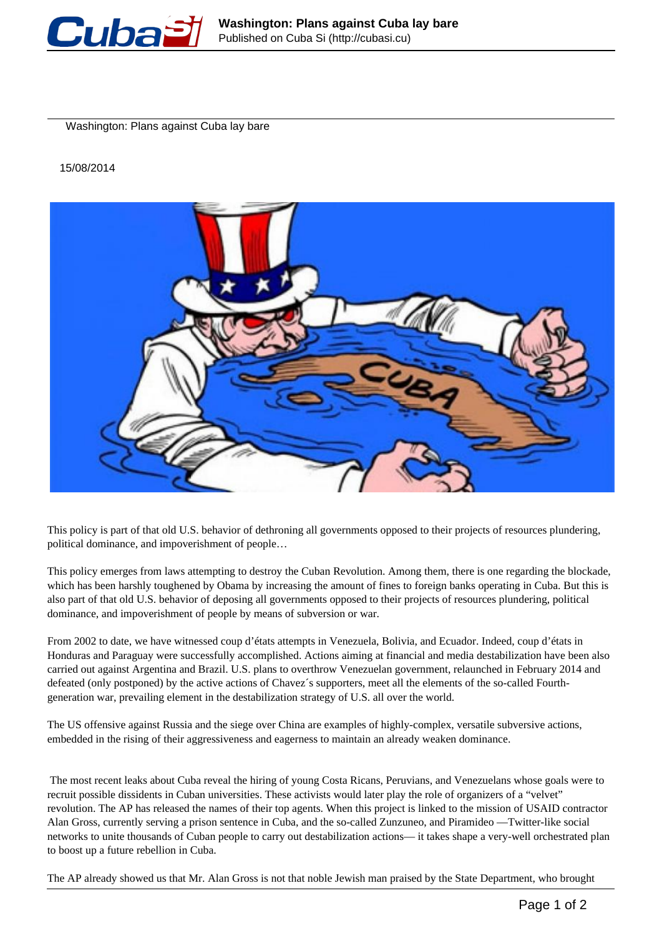

Washington: Plans against Cuba lay bare

15/08/2014



This policy is part of that old U.S. behavior of dethroning all governments opposed to their projects of resources plundering, political dominance, and impoverishment of people…

This policy emerges from laws attempting to destroy the Cuban Revolution. Among them, there is one regarding the blockade, which has been harshly toughened by Obama by increasing the amount of fines to foreign banks operating in Cuba. But this is also part of that old U.S. behavior of deposing all governments opposed to their projects of resources plundering, political dominance, and impoverishment of people by means of subversion or war.

From 2002 to date, we have witnessed coup d'états attempts in Venezuela, Bolivia, and Ecuador. Indeed, coup d'états in Honduras and Paraguay were successfully accomplished. Actions aiming at financial and media destabilization have been also carried out against Argentina and Brazil. U.S. plans to overthrow Venezuelan government, relaunched in February 2014 and defeated (only postponed) by the active actions of Chavez´s supporters, meet all the elements of the so-called Fourthgeneration war, prevailing element in the destabilization strategy of U.S. all over the world.

The US offensive against Russia and the siege over China are examples of highly-complex, versatile subversive actions, embedded in the rising of their aggressiveness and eagerness to maintain an already weaken dominance.

The most recent leaks about Cuba reveal the hiring of young Costa Ricans, Peruvians, and Venezuelans whose goals were to recruit possible dissidents in Cuban universities. These activists would later play the role of organizers of a "velvet" revolution. The AP has released the names of their top agents. When this project is linked to the mission of USAID contractor Alan Gross, currently serving a prison sentence in Cuba, and the so-called Zunzuneo, and Piramideo —Twitter-like social networks to unite thousands of Cuban people to carry out destabilization actions— it takes shape a very-well orchestrated plan to boost up a future rebellion in Cuba.

The AP already showed us that Mr. Alan Gross is not that noble Jewish man praised by the State Department, who brought